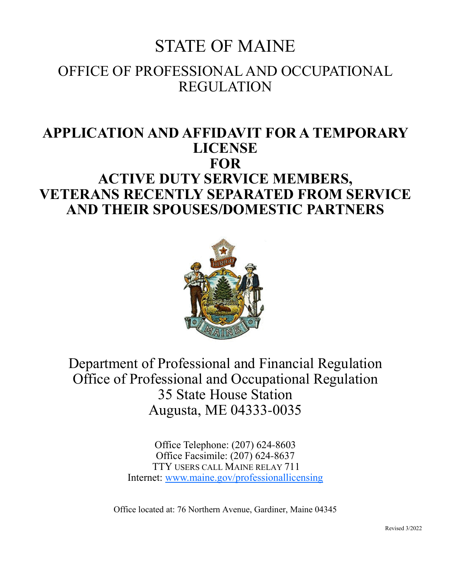# STATE OF MAINE OFFICE OF PROFESSIONAL AND OCCUPATIONAL REGULATION

# **APPLICATION AND AFFIDAVIT FOR A TEMPORARY LICENSE FOR ACTIVE DUTY SERVICE MEMBERS, VETERANS RECENTLY SEPARATED FROM SERVICE AND THEIR SPOUSES/DOMESTIC PARTNERS**



Department of Professional and Financial Regulation Office of Professional and Occupational Regulation 35 State House Station Augusta, ME 04333-0035

> Office Telephone: (207) 624-8603 Office Facsimile: (207) 624-8637 TTY USERS CALL MAINE RELAY 711 Internet: www.maine.gov/professionallicensing

Office located at: 76 Northern Avenue, Gardiner, Maine 04345

Revised 3/2022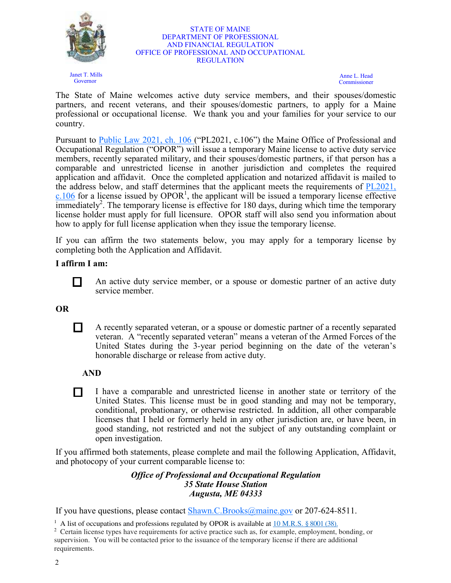

Janet T. Mills Governor

#### STATE OF MAINE DEPARTMENT OF PROFESSIONAL AND FINANCIAL REGULATION OFFICE OF PROFESSIONAL AND OCCUPATIONAL REGULATION

Anne L. Head Commissioner

The State of Maine welcomes active duty service members, and their spouses/domestic partners, and recent veterans, and their spouses/domestic partners, to apply for a Maine professional or occupational license. We thank you and your families for your service to our country.

Pursuant to **Public Law 2021, ch. 106** ("PL2021, c.106") the Maine Office of Professional and Occupational Regulation ("OPOR") will issue a temporary Maine license to active duty service members, recently separated military, and their spouses/domestic partners, if that person has a comparable and unrestricted license in another jurisdiction and completes the required application and affidavit. Once the completed application and notarized affidavit is mailed to the address below, and staff determines that the applicant meets the requirements of PL2021,  $c.106$  for a license issued by OPOR<sup>1</sup>, the applicant will be issued a temporary license effective immediately<sup>2</sup>. The temporary license is effective for 180 days, during which time the temporary license holder must apply for full licensure. OPOR staff will also send you information about how to apply for full license application when they issue the temporary license.

If you can affirm the two statements below, you may apply for a temporary license by completing both the Application and Affidavit.

### **I affirm I am:**



An active duty service member, or a spouse or domestic partner of an active duty service member.

#### **OR**

 A recently separated veteran, or a spouse or domestic partner of a recently separated veteran. A "recently separated veteran" means a veteran of the Armed Forces of the United States during the 3-year period beginning on the date of the veteran's honorable discharge or release from active duty.

**AND**

 I have a comparable and unrestricted license in another state or territory of the United States. This license must be in good standing and may not be temporary, conditional, probationary, or otherwise restricted. In addition, all other comparable licenses that I held or formerly held in any other jurisdiction are, or have been, in good standing, not restricted and not the subject of any outstanding complaint or open investigation.

If you affirmed both statements, please complete and mail the following Application, Affidavit, and photocopy of your current comparable license to:

#### *Office of Professional and Occupational Regulation 35 State House Station Augusta, ME 04333*

If you have questions, please contact Shawn.C.Brooks@maine.gov or 207-624-8511.

<sup>1</sup> A list of occupations and professions regulated by OPOR is available at <u>10 M.R.S. § 8001 (38)</u>.

<sup>&</sup>lt;sup>2</sup> Certain license types have requirements for active practice such as, for example, employment, bonding, or supervision. You will be contacted prior to the issuance of the temporary license if there are additional requirements.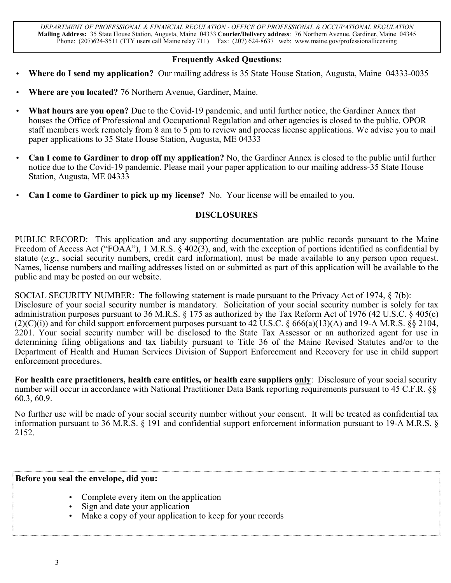*DEPARTMENT OF PROFESSIONAL & FINANCIAL REGULATION - OFFICE OF PROFESSIONAL & OCCUPATIONAL REGULATION* **Mailing Address:** 35 State House Station, Augusta, Maine 04333 **Courier/Delivery address**: 76 Northern Avenue, Gardiner, Maine 04345 Phone: (207)624-8511 (TTY users call Maine relay 711) Fax: (207) 624-8637 web: www.maine.gov/professionallicensing

#### **Frequently Asked Questions:**

- **Where do I send my application?** Our mailing address is 35 State House Station, Augusta, Maine 04333-0035
- **Where are you located?** 76 Northern Avenue, Gardiner, Maine.
- **What hours are you open?** Due to the Covid-19 pandemic, and until further notice, the Gardiner Annex that houses the Office of Professional and Occupational Regulation and other agencies is closed to the public. OPOR staff members work remotely from 8 am to 5 pm to review and process license applications. We advise you to mail paper applications to 35 State House Station, Augusta, ME 04333
- **Can I come to Gardiner to drop off my application?** No, the Gardiner Annex is closed to the public until further notice due to the Covid-19 pandemic. Please mail your paper application to our mailing address-35 State House Station, Augusta, ME 04333
- **Can I come to Gardiner to pick up my license?** No. Your license will be emailed to you.

#### **DISCLOSURES**

PUBLIC RECORD: This application and any supporting documentation are public records pursuant to the Maine Freedom of Access Act ("FOAA"), 1 M.R.S. § 402(3), and, with the exception of portions identified as confidential by statute (*e.g.*, social security numbers, credit card information), must be made available to any person upon request. Names, license numbers and mailing addresses listed on or submitted as part of this application will be available to the public and may be posted on our website.

SOCIAL SECURITY NUMBER: The following statement is made pursuant to the Privacy Act of 1974, § 7(b): Disclosure of your social security number is mandatory. Solicitation of your social security number is solely for tax administration purposes pursuant to 36 M.R.S. § 175 as authorized by the Tax Reform Act of 1976 (42 U.S.C. § 405(c)  $(2)(C)(i)$  and for child support enforcement purposes pursuant to 42 U.S.C. § 666(a)(13)(A) and 19-A M.R.S. §§ 2104, 2201. Your social security number will be disclosed to the State Tax Assessor or an authorized agent for use in determining filing obligations and tax liability pursuant to Title 36 of the Maine Revised Statutes and/or to the Department of Health and Human Services Division of Support Enforcement and Recovery for use in child support enforcement procedures.

**For health care practitioners, health care entities, or health care suppliers only**: Disclosure of your social security number will occur in accordance with National Practitioner Data Bank reporting requirements pursuant to 45 C.F.R. §§ 60.3, 60.9.

No further use will be made of your social security number without your consent. It will be treated as confidential tax information pursuant to 36 M.R.S. § 191 and confidential support enforcement information pursuant to 19-A M.R.S. § 2152.

#### **Before you seal the envelope, did you:**

- Complete every item on the application
- Sign and date your application
- Make a copy of your application to keep for your records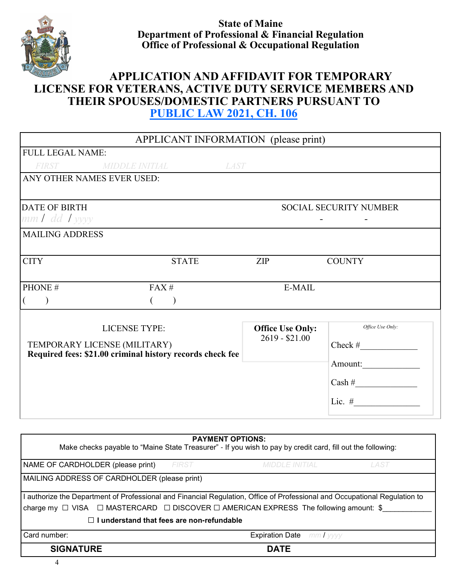

**State of Maine Department of Professional & Financial Regulation Office of Professional & Occupational Regulation**

# **APPLICATION AND AFFIDAVIT FOR TEMPORARY LICENSE FOR VETERANS, ACTIVE DUTY SERVICE MEMBERS AND THEIR SPOUSES/DOMESTIC PARTNERS PURSUANT TO PUBLIC LAW 2021, CH. 106**

| APPLICANT INFORMATION (please print)                                                                                       |                         |                               |
|----------------------------------------------------------------------------------------------------------------------------|-------------------------|-------------------------------|
| <b>FULL LEGAL NAME:</b>                                                                                                    |                         |                               |
| FIRST MIDDLE INITIAL<br>LAST                                                                                               |                         |                               |
| ANY OTHER NAMES EVER USED:                                                                                                 |                         |                               |
|                                                                                                                            |                         |                               |
| <b>DATE OF BIRTH</b>                                                                                                       |                         | <b>SOCIAL SECURITY NUMBER</b> |
| $mmI$ dd $I$ yyyy                                                                                                          |                         |                               |
| <b>MAILING ADDRESS</b>                                                                                                     |                         |                               |
| <b>CITY</b><br><b>STATE</b>                                                                                                | ZIP                     | <b>COUNTY</b>                 |
|                                                                                                                            |                         |                               |
| PHONE #<br>FAX#                                                                                                            | E-MAIL                  |                               |
| $\big)$<br>€<br>€<br>$\big)$                                                                                               |                         |                               |
|                                                                                                                            |                         |                               |
| <b>LICENSE TYPE:</b>                                                                                                       | <b>Office Use Only:</b> | Office Use Only:              |
| TEMPORARY LICENSE (MILITARY)                                                                                               | $2619 - $21.00$         | Check #                       |
| Required fees: \$21.00 criminal history records check fee                                                                  |                         |                               |
|                                                                                                                            |                         |                               |
|                                                                                                                            |                         | $\cosh\#$                     |
|                                                                                                                            |                         | Lic. $#$                      |
|                                                                                                                            |                         |                               |
|                                                                                                                            |                         |                               |
| <b>PAYMENT OPTIONS:</b>                                                                                                    |                         |                               |
| Make checks payable to "Maine State Treasurer" - If you wish to pay by credit card, fill out the following:                |                         |                               |
| NAME OF CARDHOLDER (please print) FIRST                                                                                    | <b>MIDDLE INITIAL</b>   | <b>LAST</b>                   |
| MAILING ADDRESS OF CARDHOLDER (please print)                                                                               |                         |                               |
| I authorize the Department of Professional and Financial Regulation, Office of Professional and Occupational Regulation to |                         |                               |
| charge my $\Box$ VISA $\Box$ MASTERCARD $\Box$ DISCOVER $\Box$ AMERICAN EXPRESS The following amount: \$                   |                         |                               |

**□ I understand that fees are non-refundable**

| Card<br>number: | Date<br>∙xnır<br>ration<br>. |
|-----------------|------------------------------|
|                 | $\cdot$ a true               |
| RК.             | ∼                            |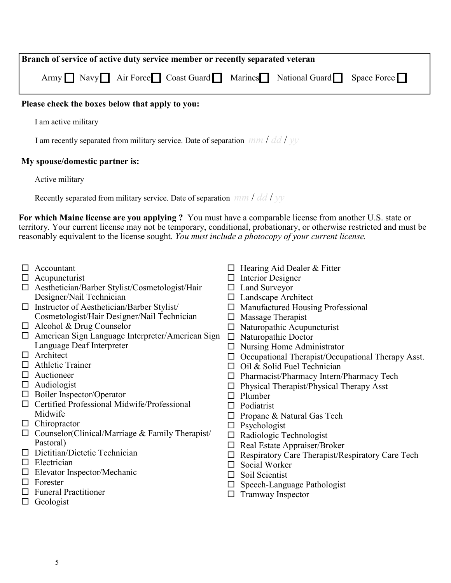| Branch of service of active duty service member or recently separated veteran |  |  |
|-------------------------------------------------------------------------------|--|--|
| Army Navy Air Force Coast Guard Marines National Guard Space Force            |  |  |

#### **Please check the boxes below that apply to you:**

I am active military

I am recently separated from military service. Date of separation *mm* / *dd* / *yy*

#### **My spouse/domestic partner is:**

#### Active military

Recently separated from military service. Date of separation *mm* / *dd* / *yy*

**For which Maine license are you applying ?** You must have a comparable license from another U.S. state or territory. Your current license may not be temporary, conditional, probationary, or otherwise restricted and must be reasonably equivalent to the license sought. *You must include a photocopy of your current license.*

- □ Accountant
- $\Box$  Acupuncturist
- Aesthetician/Barber Stylist/Cosmetologist/Hair Designer/Nail Technician
- $\Box$  Instructor of Aesthetician/Barber Stylist/ Cosmetologist/Hair Designer/Nail Technician
- $\Box$  Alcohol & Drug Counselor
- □ American Sign Language Interpreter/American Sign □ Naturopathic Doctor Language Deaf Interpreter
- □ Architect
- □ Athletic Trainer
- Auctioneer
- Audiologist
- $\Box$  Boiler Inspector/Operator
- $\Box$  Certified Professional Midwife/Professional Midwife
- □ Chiropractor
- $\Box$  Counselor(Clinical/Marriage & Family Therapist/ Pastoral)
- $\Box$  Dietitian/Dietetic Technician
- $\Box$  Electrician
- Elevator Inspector/Mechanic
- $\Box$  Forester
- $\Box$  Funeral Practitioner
- $\Box$  Geologist
- $\Box$  Hearing Aid Dealer & Fitter
- $\Box$  Interior Designer
- □ Land Surveyor
- □ Landscape Architect
- $\Box$  Manufactured Housing Professional
- $\Box$  Massage Therapist
- $\Box$  Naturopathic Acupuncturist
- 
- $\Box$  Nursing Home Administrator
- $\Box$  Occupational Therapist/Occupational Therapy Asst.
- $\Box$  Oil & Solid Fuel Technician
- Pharmacist/Pharmacy Intern/Pharmacy Tech
- Physical Therapist/Physical Therapy Asst
- $\Box$  Plumber
- □ Podiatrist
- $\Box$  Propane & Natural Gas Tech
- $\Box$  Psychologist
- □ Radiologic Technologist
- $\Box$  Real Estate Appraiser/Broker
- $\Box$  Respiratory Care Therapist/Respiratory Care Tech
- $\Box$  Social Worker
- $\Box$  Soil Scientist
- $\square$  Speech-Language Pathologist
- $\Box$  Tramway Inspector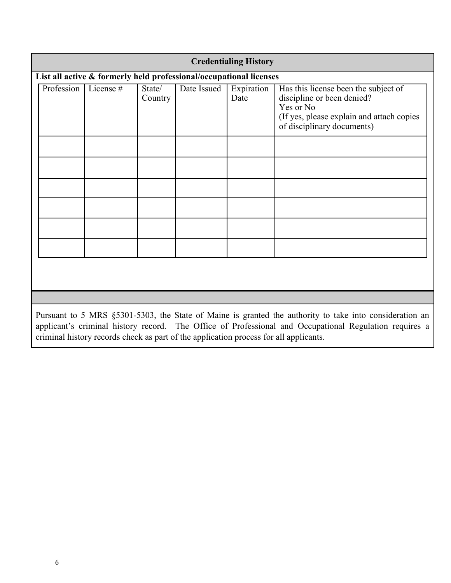| <b>Credentialing History</b> |                                                                                                                                                                                                                 |           |                   |             |                    |                                                                                                                                                             |  |
|------------------------------|-----------------------------------------------------------------------------------------------------------------------------------------------------------------------------------------------------------------|-----------|-------------------|-------------|--------------------|-------------------------------------------------------------------------------------------------------------------------------------------------------------|--|
|                              | List all active & formerly held professional/occupational licenses                                                                                                                                              |           |                   |             |                    |                                                                                                                                                             |  |
|                              | Profession                                                                                                                                                                                                      | License # | State/<br>Country | Date Issued | Expiration<br>Date | Has this license been the subject of<br>discipline or been denied?<br>Yes or No<br>(If yes, please explain and attach copies)<br>of disciplinary documents) |  |
|                              |                                                                                                                                                                                                                 |           |                   |             |                    |                                                                                                                                                             |  |
|                              |                                                                                                                                                                                                                 |           |                   |             |                    |                                                                                                                                                             |  |
|                              |                                                                                                                                                                                                                 |           |                   |             |                    |                                                                                                                                                             |  |
|                              | Pursuant to 5 MRS §5301-5303, the State of Maine is granted the authority to take into consideration an<br>applicant's criminal history record The Office of Professional and Occupational Requision requires a |           |                   |             |                    |                                                                                                                                                             |  |

applicant's criminal history record. The Office of Professional and Occupational Regulation requires a criminal history records check as part of the application process for all applicants.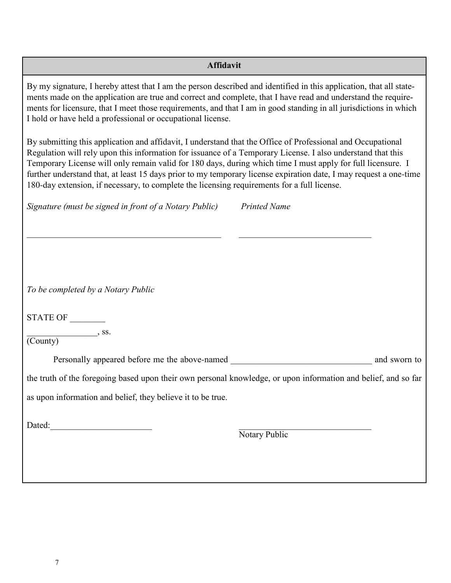| <b>Affidavit</b>                                                                                                                                                                                                                                                                                                                                                                                                                                                                                                                                              |                     |  |  |  |
|---------------------------------------------------------------------------------------------------------------------------------------------------------------------------------------------------------------------------------------------------------------------------------------------------------------------------------------------------------------------------------------------------------------------------------------------------------------------------------------------------------------------------------------------------------------|---------------------|--|--|--|
| By my signature, I hereby attest that I am the person described and identified in this application, that all state-<br>ments made on the application are true and correct and complete, that I have read and understand the require-<br>ments for licensure, that I meet those requirements, and that I am in good standing in all jurisdictions in which<br>I hold or have held a professional or occupational license.                                                                                                                                      |                     |  |  |  |
| By submitting this application and affidavit, I understand that the Office of Professional and Occupational<br>Regulation will rely upon this information for issuance of a Temporary License. I also understand that this<br>Temporary License will only remain valid for 180 days, during which time I must apply for full licensure. I<br>further understand that, at least 15 days prior to my temporary license expiration date, I may request a one-time<br>180-day extension, if necessary, to complete the licensing requirements for a full license. |                     |  |  |  |
| Signature (must be signed in front of a Notary Public)                                                                                                                                                                                                                                                                                                                                                                                                                                                                                                        | <b>Printed Name</b> |  |  |  |
|                                                                                                                                                                                                                                                                                                                                                                                                                                                                                                                                                               |                     |  |  |  |
|                                                                                                                                                                                                                                                                                                                                                                                                                                                                                                                                                               |                     |  |  |  |
|                                                                                                                                                                                                                                                                                                                                                                                                                                                                                                                                                               |                     |  |  |  |
| To be completed by a Notary Public                                                                                                                                                                                                                                                                                                                                                                                                                                                                                                                            |                     |  |  |  |
| STATE OF                                                                                                                                                                                                                                                                                                                                                                                                                                                                                                                                                      |                     |  |  |  |
| $\sim$ , ss.<br>(County)                                                                                                                                                                                                                                                                                                                                                                                                                                                                                                                                      |                     |  |  |  |
|                                                                                                                                                                                                                                                                                                                                                                                                                                                                                                                                                               | and sworn to        |  |  |  |
| the truth of the foregoing based upon their own personal knowledge, or upon information and belief, and so far                                                                                                                                                                                                                                                                                                                                                                                                                                                |                     |  |  |  |
| as upon information and belief, they believe it to be true.                                                                                                                                                                                                                                                                                                                                                                                                                                                                                                   |                     |  |  |  |
| Dated:                                                                                                                                                                                                                                                                                                                                                                                                                                                                                                                                                        |                     |  |  |  |
|                                                                                                                                                                                                                                                                                                                                                                                                                                                                                                                                                               | Notary Public       |  |  |  |
|                                                                                                                                                                                                                                                                                                                                                                                                                                                                                                                                                               |                     |  |  |  |
|                                                                                                                                                                                                                                                                                                                                                                                                                                                                                                                                                               |                     |  |  |  |